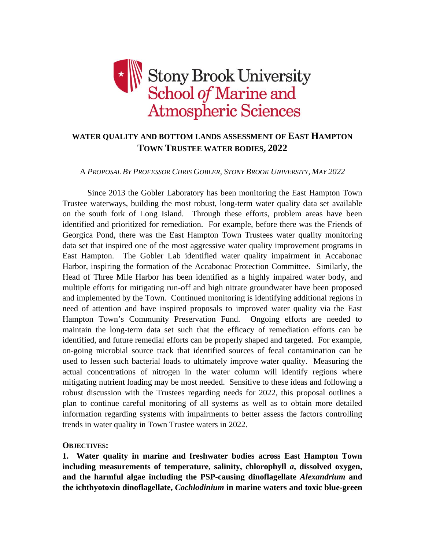

# **WATER QUALITY AND BOTTOM LANDS ASSESSMENT OF EAST HAMPTON TOWN TRUSTEE WATER BODIES, 2022**

### A *PROPOSAL BY PROFESSOR CHRIS GOBLER, STONY BROOK UNIVERSITY, MAY 2022*

Since 2013 the Gobler Laboratory has been monitoring the East Hampton Town Trustee waterways, building the most robust, long-term water quality data set available on the south fork of Long Island. Through these efforts, problem areas have been identified and prioritized for remediation. For example, before there was the Friends of Georgica Pond, there was the East Hampton Town Trustees water quality monitoring data set that inspired one of the most aggressive water quality improvement programs in East Hampton. The Gobler Lab identified water quality impairment in Accabonac Harbor, inspiring the formation of the Accabonac Protection Committee. Similarly, the Head of Three Mile Harbor has been identified as a highly impaired water body, and multiple efforts for mitigating run-off and high nitrate groundwater have been proposed and implemented by the Town. Continued monitoring is identifying additional regions in need of attention and have inspired proposals to improved water quality via the East Hampton Town's Community Preservation Fund. Ongoing efforts are needed to maintain the long-term data set such that the efficacy of remediation efforts can be identified, and future remedial efforts can be properly shaped and targeted. For example, on-going microbial source track that identified sources of fecal contamination can be used to lessen such bacterial loads to ultimately improve water quality. Measuring the actual concentrations of nitrogen in the water column will identify regions where mitigating nutrient loading may be most needed. Sensitive to these ideas and following a robust discussion with the Trustees regarding needs for 2022, this proposal outlines a plan to continue careful monitoring of all systems as well as to obtain more detailed information regarding systems with impairments to better assess the factors controlling trends in water quality in Town Trustee waters in 2022.

#### **OBJECTIVES:**

**1. Water quality in marine and freshwater bodies across East Hampton Town including measurements of temperature, salinity, chlorophyll** *a***, dissolved oxygen, and the harmful algae including the PSP-causing dinoflagellate** *Alexandrium* **and the ichthyotoxin dinoflagellate,** *Cochlodinium* **in marine waters and toxic blue-green**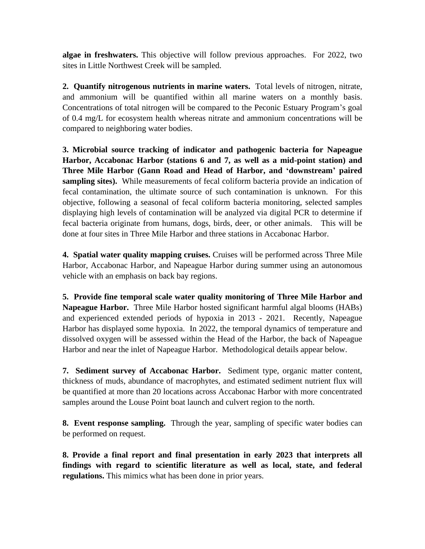**algae in freshwaters.** This objective will follow previous approaches. For 2022, two sites in Little Northwest Creek will be sampled.

**2. Quantify nitrogenous nutrients in marine waters.** Total levels of nitrogen, nitrate, and ammonium will be quantified within all marine waters on a monthly basis. Concentrations of total nitrogen will be compared to the Peconic Estuary Program's goal of 0.4 mg/L for ecosystem health whereas nitrate and ammonium concentrations will be compared to neighboring water bodies.

**3. Microbial source tracking of indicator and pathogenic bacteria for Napeague Harbor, Accabonac Harbor (stations 6 and 7, as well as a mid-point station) and Three Mile Harbor (Gann Road and Head of Harbor, and 'downstream' paired sampling sites).** While measurements of fecal coliform bacteria provide an indication of fecal contamination, the ultimate source of such contamination is unknown. For this objective, following a seasonal of fecal coliform bacteria monitoring, selected samples displaying high levels of contamination will be analyzed via digital PCR to determine if fecal bacteria originate from humans, dogs, birds, deer, or other animals. This will be done at four sites in Three Mile Harbor and three stations in Accabonac Harbor.

**4. Spatial water quality mapping cruises.** Cruises will be performed across Three Mile Harbor, Accabonac Harbor, and Napeague Harbor during summer using an autonomous vehicle with an emphasis on back bay regions.

**5. Provide fine temporal scale water quality monitoring of Three Mile Harbor and Napeague Harbor.** Three Mile Harbor hosted significant harmful algal blooms (HABs) and experienced extended periods of hypoxia in 2013 - 2021. Recently, Napeague Harbor has displayed some hypoxia. In 2022, the temporal dynamics of temperature and dissolved oxygen will be assessed within the Head of the Harbor, the back of Napeague Harbor and near the inlet of Napeague Harbor. Methodological details appear below.

**7. Sediment survey of Accabonac Harbor.** Sediment type, organic matter content, thickness of muds, abundance of macrophytes, and estimated sediment nutrient flux will be quantified at more than 20 locations across Accabonac Harbor with more concentrated samples around the Louse Point boat launch and culvert region to the north.

**8. Event response sampling.** Through the year, sampling of specific water bodies can be performed on request.

**8. Provide a final report and final presentation in early 2023 that interprets all findings with regard to scientific literature as well as local, state, and federal regulations.** This mimics what has been done in prior years.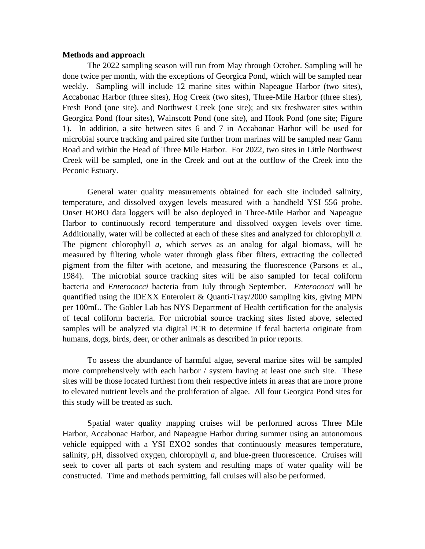#### **Methods and approach**

The 2022 sampling season will run from May through October. Sampling will be done twice per month, with the exceptions of Georgica Pond, which will be sampled near weekly. Sampling will include 12 marine sites within Napeague Harbor (two sites), Accabonac Harbor (three sites), Hog Creek (two sites), Three-Mile Harbor (three sites), Fresh Pond (one site), and Northwest Creek (one site); and six freshwater sites within Georgica Pond (four sites), Wainscott Pond (one site), and Hook Pond (one site; Figure 1). In addition, a site between sites 6 and 7 in Accabonac Harbor will be used for microbial source tracking and paired site further from marinas will be sampled near Gann Road and within the Head of Three Mile Harbor. For 2022, two sites in Little Northwest Creek will be sampled, one in the Creek and out at the outflow of the Creek into the Peconic Estuary.

General water quality measurements obtained for each site included salinity, temperature, and dissolved oxygen levels measured with a handheld YSI 556 probe. Onset HOBO data loggers will be also deployed in Three-Mile Harbor and Napeague Harbor to continuously record temperature and dissolved oxygen levels over time. Additionally, water will be collected at each of these sites and analyzed for chlorophyll *a.*  The pigment chlorophyll *a*, which serves as an analog for algal biomass, will be measured by filtering whole water through glass fiber filters, extracting the collected pigment from the filter with acetone, and measuring the fluorescence (Parsons et al., 1984). The microbial source tracking sites will be also sampled for fecal coliform bacteria and *Enterococci* bacteria from July through September. *Enterococci* will be quantified using the IDEXX Enterolert & Quanti-Tray/2000 sampling kits, giving MPN per 100mL. The Gobler Lab has NYS Department of Health certification for the analysis of fecal coliform bacteria. For microbial source tracking sites listed above, selected samples will be analyzed via digital PCR to determine if fecal bacteria originate from humans, dogs, birds, deer, or other animals as described in prior reports.

To assess the abundance of harmful algae, several marine sites will be sampled more comprehensively with each harbor / system having at least one such site. These sites will be those located furthest from their respective inlets in areas that are more prone to elevated nutrient levels and the proliferation of algae. All four Georgica Pond sites for this study will be treated as such.

Spatial water quality mapping cruises will be performed across Three Mile Harbor, Accabonac Harbor, and Napeague Harbor during summer using an autonomous vehicle equipped with a YSI EXO2 sondes that continuously measures temperature, salinity, pH, dissolved oxygen, chlorophyll *a*, and blue-green fluorescence. Cruises will seek to cover all parts of each system and resulting maps of water quality will be constructed. Time and methods permitting, fall cruises will also be performed.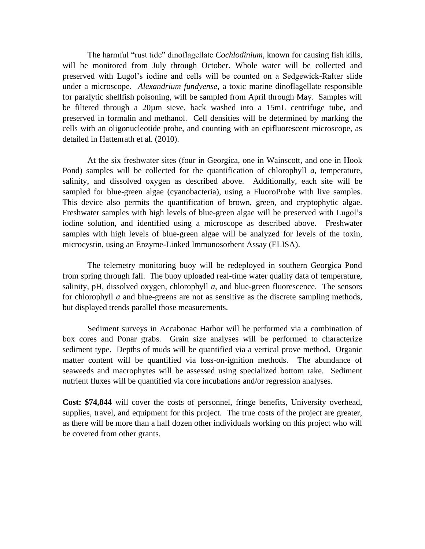The harmful "rust tide" dinoflagellate *Cochlodinium*, known for causing fish kills, will be monitored from July through October. Whole water will be collected and preserved with Lugol's iodine and cells will be counted on a Sedgewick-Rafter slide under a microscope. *Alexandrium fundyense*, a toxic marine dinoflagellate responsible for paralytic shellfish poisoning, will be sampled from April through May. Samples will be filtered through a 20µm sieve, back washed into a 15mL centrifuge tube, and preserved in formalin and methanol. Cell densities will be determined by marking the cells with an oligonucleotide probe, and counting with an epifluorescent microscope, as detailed in Hattenrath et al. (2010).

At the six freshwater sites (four in Georgica, one in Wainscott, and one in Hook Pond) samples will be collected for the quantification of chlorophyll *a*, temperature, salinity, and dissolved oxygen as described above. Additionally, each site will be sampled for blue-green algae (cyanobacteria), using a FluoroProbe with live samples. This device also permits the quantification of brown, green, and cryptophytic algae. Freshwater samples with high levels of blue-green algae will be preserved with Lugol's iodine solution, and identified using a microscope as described above. Freshwater samples with high levels of blue-green algae will be analyzed for levels of the toxin, microcystin, using an Enzyme-Linked Immunosorbent Assay (ELISA).

The telemetry monitoring buoy will be redeployed in southern Georgica Pond from spring through fall. The buoy uploaded real-time water quality data of temperature, salinity, pH, dissolved oxygen, chlorophyll *a*, and blue-green fluorescence. The sensors for chlorophyll *a* and blue-greens are not as sensitive as the discrete sampling methods, but displayed trends parallel those measurements.

Sediment surveys in Accabonac Harbor will be performed via a combination of box cores and Ponar grabs. Grain size analyses will be performed to characterize sediment type. Depths of muds will be quantified via a vertical prove method. Organic matter content will be quantified via loss-on-ignition methods. The abundance of seaweeds and macrophytes will be assessed using specialized bottom rake. Sediment nutrient fluxes will be quantified via core incubations and/or regression analyses.

**Cost: \$74,844** will cover the costs of personnel, fringe benefits, University overhead, supplies, travel, and equipment for this project. The true costs of the project are greater, as there will be more than a half dozen other individuals working on this project who will be covered from other grants.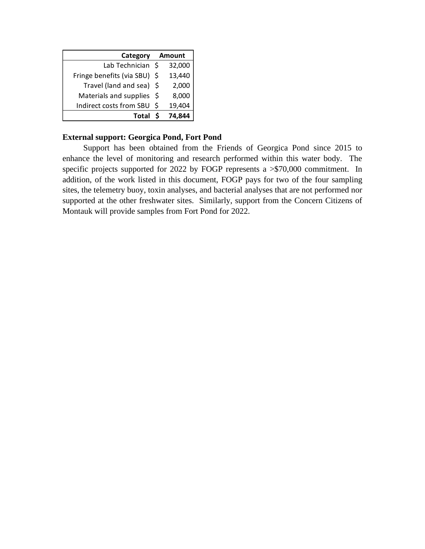| Category                     | Amount |        |
|------------------------------|--------|--------|
| Lab Technician \$            |        | 32,000 |
| Fringe benefits (via SBU) \$ |        | 13,440 |
| Travel (land and sea) \$     |        | 2,000  |
| Materials and supplies       | -S     | 8,000  |
| Indirect costs from SBU      | S.     | 19,404 |
| <b>Total</b>                 |        | 74.8   |

## **External support: Georgica Pond, Fort Pond**

 Support has been obtained from the Friends of Georgica Pond since 2015 to enhance the level of monitoring and research performed within this water body. The specific projects supported for 2022 by FOGP represents a >\$70,000 commitment. In addition, of the work listed in this document, FOGP pays for two of the four sampling sites, the telemetry buoy, toxin analyses, and bacterial analyses that are not performed nor supported at the other freshwater sites. Similarly, support from the Concern Citizens of Montauk will provide samples from Fort Pond for 2022.